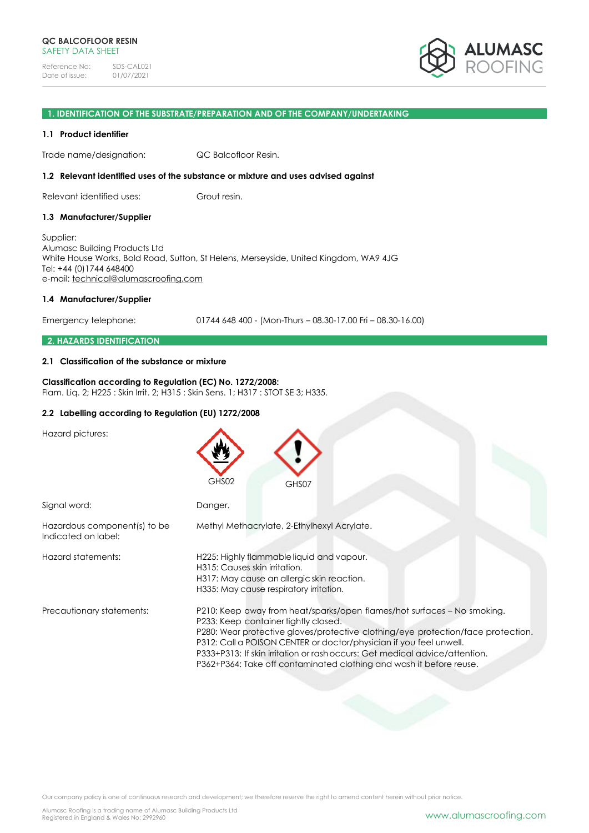

## **1. IDENTIFICATION OF THE SUBSTRATE/PREPARATION AND OF THE COMPANY/UNDERTAKING**

#### **1.1 Product identifier**

Trade name/designation: QC Balcofloor Resin.

#### **1.2 Relevant identified uses of the substance or mixture and uses advised against**

Relevant identified uses: Grout resin.

#### **1.3 Manufacturer/Supplier**

Supplier: Alumasc Building Products Ltd White House Works, Bold Road, Sutton, St Helens, Merseyside, United Kingdom, WA9 4JG Tel: +44 (0)1744 648400 e-mail: [technical@alumascroofing.com](mailto:technical@alumascroofing.com)

#### **1.4 Manufacturer/Supplier**

Emergency telephone: 01744 648 400 - (Mon-Thurs – 08.30-17.00 Fri – 08.30-16.00)

#### **2. HAZARDS IDENTIFICATION**

## **2.1 Classification of the substance or mixture**

#### **Classification according to Regulation (EC) No. 1272/2008:** Flam. Liq. 2; H225 : Skin Irrit. 2; H315 : Skin Sens. 1; H317 : STOT SE 3; H335.

# **2.2 Labelling according to Regulation (EU) 1272/2008**

Hazard pictures:

|                                                     | GHS02<br>GHS07                                                                                                                                                                                                                                                                                                                                                                                                                  |
|-----------------------------------------------------|---------------------------------------------------------------------------------------------------------------------------------------------------------------------------------------------------------------------------------------------------------------------------------------------------------------------------------------------------------------------------------------------------------------------------------|
| Signal word:                                        | Danger.                                                                                                                                                                                                                                                                                                                                                                                                                         |
| Hazardous component(s) to be<br>Indicated on label: | Methyl Methacrylate, 2-Ethylhexyl Acrylate.                                                                                                                                                                                                                                                                                                                                                                                     |
| Hazard statements:                                  | H225: Highly flammable liquid and vapour.<br>H315: Causes skin irritation.<br>H317: May cause an allergic skin reaction.<br>H335: May cause respiratory irritation.                                                                                                                                                                                                                                                             |
| Precautionary statements:                           | P210: Keep away from heat/sparks/open flames/hot surfaces - No smoking.<br>P233: Keep container tightly closed.<br>P280: Wear protective gloves/protective clothing/eye protection/face protection.<br>P312: Call a POISON CENTER or doctor/physician if you feel unwell.<br>P333+P313: If skin irritation or rash occurs: Get medical advice/attention.<br>P362+P364: Take off contaminated clothing and wash it before reuse. |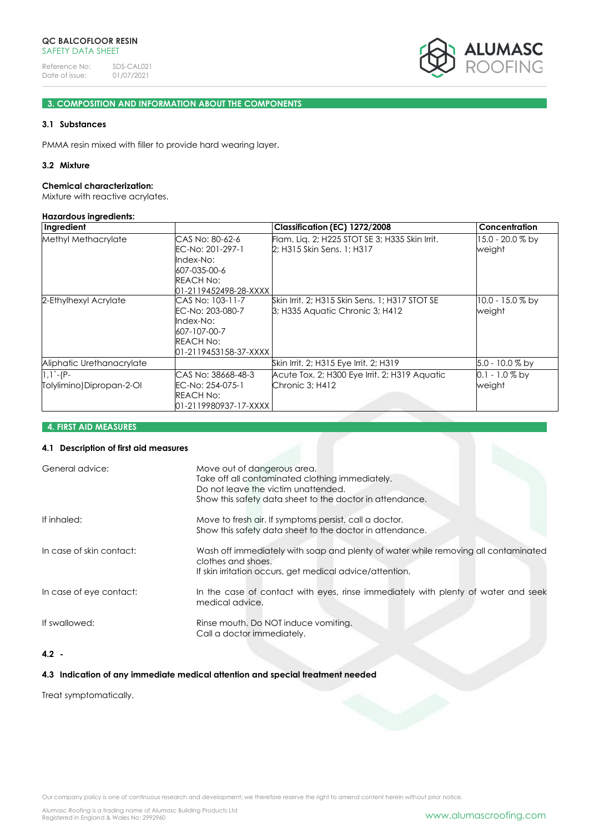

# **3. COMPOSITION AND INFORMATION ABOUT THE COMPONENTS**

# **3.1 Substances**

PMMA resin mixed with filler to provide hard wearing layer.

## **3.2 Mixture**

#### **Chemical characterization:**

Mixture with reactive acrylates.

#### **Hazardous ingredients:**

| Ingredient                               |                                                                                                                | Classification (EC) 1272/2008                                                     | <b>Concentration</b>         |
|------------------------------------------|----------------------------------------------------------------------------------------------------------------|-----------------------------------------------------------------------------------|------------------------------|
| Methyl Methacrylate                      | CAS No: 80-62-6<br>EC-No: 201-297-1<br>Index-No:<br>607-035-00-6<br>REACH No:<br>01-2119452498-28-XXXX         | Flam. Lig. 2; H225 STOT SE 3; H335 Skin Irrit.<br>2; H315 Skin Sens. 1; H317      | 15.0 - 20.0 % by<br>weight   |
| 2-Ethylhexyl Acrylate                    | CAS No: 103-11-7<br>EC-No: 203-080-7<br>Index-No:<br>607-107-00-7<br><b>REACH No:</b><br>01-2119453158-37-XXXX | Skin Irrit, 2; H315 Skin Sens, 1; H317 STOT SE<br>3; H335 Aquatic Chronic 3; H412 | $10.0 - 15.0 %$ by<br>weight |
| Aliphatic Urethanacrylate                |                                                                                                                | Skin Irrit. 2; H315 Eye Irrit. 2; H319                                            | $5.0 - 10.0 %$ by            |
| $1,1 - (P -$<br>Tolylimino)Dipropan-2-Ol | CAS No: 38668-48-3<br>EC-No: 254-075-1<br>REACH No:<br>01-2119980937-17-XXXX                                   | Acute Tox, 2; H300 Eye Irrit, 2; H319 Aquatic<br>Chronic 3; H412                  | $0.1 - 1.0\%$ by<br>weight   |

# **4. FIRST AID MEASURES**

# **4.1 Description of first aid measures**

| General advice:          | Move out of dangerous area.<br>Take off all contaminated clothing immediately.<br>Do not leave the victim unattended.                                                |
|--------------------------|----------------------------------------------------------------------------------------------------------------------------------------------------------------------|
|                          | Show this safety data sheet to the doctor in attendance.                                                                                                             |
| If inhaled:              | Move to fresh air. If symptoms persist, call a doctor.<br>Show this safety data sheet to the doctor in attendance.                                                   |
| In case of skin contact: | Wash off immediately with soap and plenty of water while removing all contaminated<br>clothes and shoes.<br>If skin irritation occurs, get medical advice/attention. |
| In case of eye contact:  | In the case of contact with eyes, rinse immediately with plenty of water and seek<br>medical advice.                                                                 |
| If swallowed:            | Rinse mouth. Do NOT induce vomiting.<br>Call a doctor immediately.                                                                                                   |
|                          |                                                                                                                                                                      |

# **4.2 -**

# **4.3 Indication of any immediate medical attention and special treatment needed**

Treat symptomatically.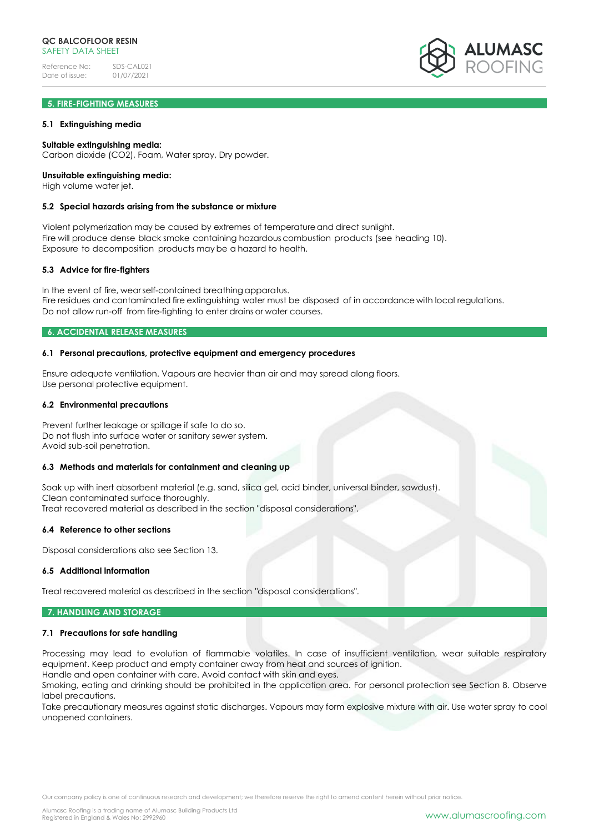# **5. FIRE-FIGHTING MEASURES**

## **5.1 Extinguishing media**

## **Suitable extinguishing media:**

Carbon dioxide (CO2), Foam, Water spray, Dry powder.

# **Unsuitable extinguishing media:**

High volume water jet.

#### **5.2 Special hazards arising from the substance or mixture**

Violent polymerization may be caused by extremes of temperatureand direct sunlight. Fire will produce dense black smoke containing hazardous combustion products (see heading 10). Exposure to decomposition products may be a hazard to health.

## **5.3 Advice for fire-fighters**

In the event of fire, wearself-contained breathing apparatus. Fire residues and contaminated fire extinguishing water must be disposed of in accordance with local regulations. Do not allow run-off from fire-fighting to enter drains or water courses.

# **6. ACCIDENTAL RELEASE MEASURES**

## **6.1 Personal precautions, protective equipment and emergency procedures**

Ensure adequate ventilation. Vapours are heavier than air and may spread along floors. Use personal protective equipment.

#### **6.2 Environmental precautions**

Prevent further leakage or spillage if safe to do so. Do not flush into surface water or sanitary sewer system. Avoid sub-soil penetration.

## **6.3 Methods and materials for containment and cleaning up**

Soak up with inert absorbent material (e.g. sand, silica gel, acid binder, universal binder, sawdust). Clean contaminated surface thoroughly. Treat recovered material as described in the section "disposal considerations".

#### **6.4 Reference to other sections**

Disposal considerations also see Section 13.

## **6.5 Additional information**

Treat recovered material as described in the section "disposal considerations".

## **7. HANDLING AND STORAGE**

#### **7.1 Precautions for safe handling**

Processing may lead to evolution of flammable volatiles. In case of insufficient ventilation, wear suitable respiratory equipment. Keep product and empty container away from heat and sources of ignition.

Handle and open container with care. Avoid contact with skin and eyes. Smoking, eating and drinking should be prohibited in the application area. For personal protection see Section 8. Observe label precautions.

Take precautionary measures against static discharges. Vapours may form explosive mixture with air. Use water spray to cool unopened containers.

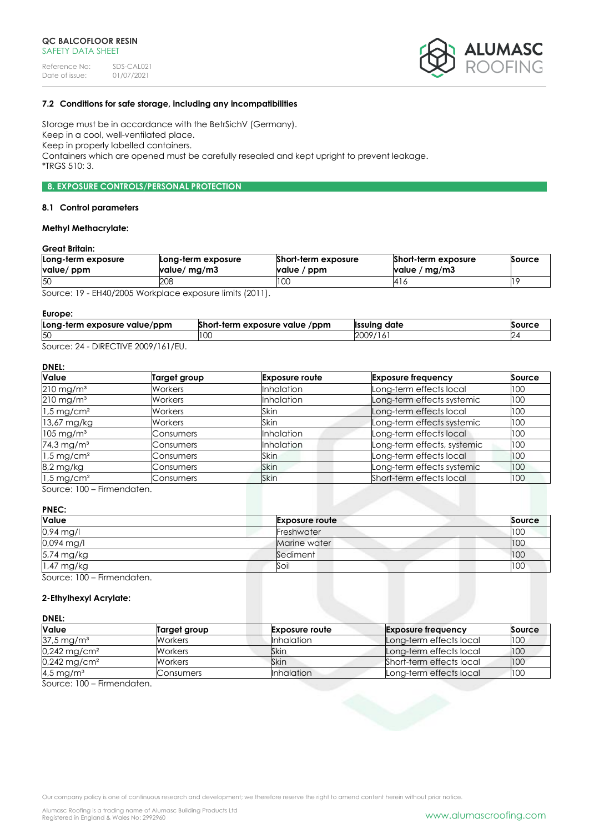

# **7.2 Conditions for safe storage, including any incompatibilities**

Storage must be in accordance with the BetrSichV (Germany). Keep in a cool, well-ventilated place. Keep in properly labelled containers. Containers which are opened must be carefully resealed and kept upright to prevent leakage. \*TRGS 510: 3.

# **8. EXPOSURE CONTROLS/PERSONAL PROTECTION**

#### **8.1 Control parameters**

# **Methyl Methacrylate:**

# **Great Britain:**

| Long-term exposure<br>value/ ppm | Long-term exposure<br>value/ mg/m3                  | <b>Short-term exposure</b><br>value / ppm | <b>Short-term exposure</b><br>value / mg/m3 | Source |
|----------------------------------|-----------------------------------------------------|-------------------------------------------|---------------------------------------------|--------|
| 50                               | 208                                                 | טע                                        | ہ ا4                                        |        |
| $\sim$                           | $\mathbf{r}$ $\mathbf{r}$ $\mathbf{r}$ $\mathbf{r}$ |                                           |                                             |        |

Source: 19 - EH40/2005 Workplace exposure limits (2011).

#### **Europe:**

| Long-term exposure value/ppm | Short-term exposure value<br>/ppm | <sup>.</sup> date<br><b>Ilssuina</b> | Source |
|------------------------------|-----------------------------------|--------------------------------------|--------|
| 50                           | LU.                               | 2009<br>19/<br>.                     |        |
| DIDFOTIVIF                   |                                   |                                      |        |

Source: 24 - DIRECTIVE 2009/161/EU.

# **DNEL:**

| <b>Value</b>             | Target group   | <b>Exposure route</b> | <b>Exposure frequency</b>   | Source |
|--------------------------|----------------|-----------------------|-----------------------------|--------|
| $210 \,\mathrm{mg/m^3}$  | Workers        | <b>Inhalation</b>     | Long-term effects local     | 100    |
| $210$ mg/m <sup>3</sup>  | Workers        | <b>Inhalation</b>     | Long-term effects systemic  | 100    |
| $1.5 \,\mathrm{mg/cm^2}$ | <b>Workers</b> | Skin                  | Long-term effects local     | 100    |
| 13,67 mg/kg              | Workers        | <b>Skin</b>           | Long-term effects systemic  | 100    |
| $105 \,\mathrm{mg/m^3}$  | Consumers      | <b>Inhalation</b>     | Long-term effects local     | 100    |
| 74,3 mg/m <sup>3</sup>   | Consumers      | Inhalation            | Long-term effects, systemic | 100    |
| $1.5 \,\mathrm{mg/cm^2}$ | Consumers      | Skin                  | Long-term effects local     | 100    |
| 8,2 mg/kg                | Consumers      | <b>Skin</b>           | Long-term effects systemic  | 100    |
| $1.5$ mg/cm <sup>2</sup> | Consumers      | <b>Skin</b>           | Short-term effects local    | 100    |

Source: 100 – Firmendaten.

# **PNEC:**

| Value                      | <b>Exposure route</b> | Source |
|----------------------------|-----------------------|--------|
| 0,94 mg/l                  | Freshwater            | 100    |
| 0,094 mg/l                 | Marine water          | 100    |
| 5,74 mg/kg                 | Sediment              | 100    |
| 1,47 mg/kg                 | Soil                  | 100    |
| Source: 100 - Firmendaten. |                       |        |

# **2-Ethylhexyl Acrylate:**

## **DNEL:**

| <b>Value</b>               | Target group | <b>Exposure route</b> | <b>Exposure frequency</b> | Source |
|----------------------------|--------------|-----------------------|---------------------------|--------|
| $37.5 \,\mathrm{mg/m^3}$   | Workers      | <b>Inhalation</b>     | Long-term effects local   | 100    |
| $0,242$ mg/cm <sup>2</sup> | Workers      | Skin                  | Long-term effects local   | 100    |
| 0,242 mg/cm <sup>2</sup>   | Workers      | Skin                  | Short-term effects local  | 100    |
| 4,5 mg/m <sup>3</sup>      | Consumers    | <b>Inhalation</b>     | Long-term effects local   | 100    |

Source: 100 – Firmendaten.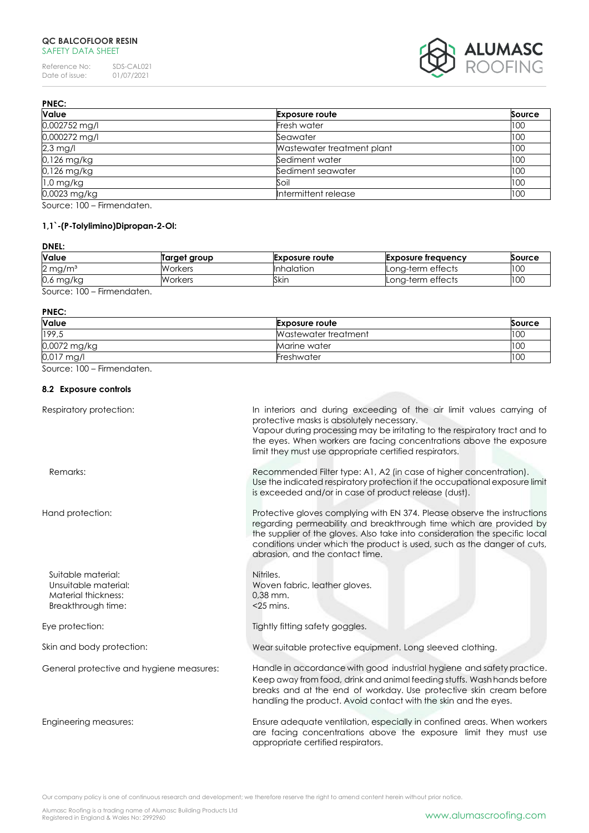# **QC BALCOFLOOR RESIN** SAFETY DATA SHEET

Reference No: SDS-CAL021<br>Date of issue: 01/07/2021  $01/07/2021$ 



| <b>PNEC:</b>         |                            |               |
|----------------------|----------------------------|---------------|
| Value                | <b>Exposure route</b>      | <b>Source</b> |
| 0,002752 mg/l        | Fresh water                | 100           |
| 0,000272 mg/l        | Seawater                   | 100           |
| $2,3$ mg/l           | Wastewater treatment plant | 100           |
| 0,126 mg/kg          | Sediment water             | 100           |
| 0,126 mg/kg          | Sediment seawater          | 100           |
| $1,0$ mg/kg          | Soil                       | 100           |
| 0,0023 mg/kg         | Intermittent release       | 100           |
| $\sim$ 100 $\sim$ 11 |                            |               |

Source: 100 – Firmendaten.

# **1,1`-(P-Tolylimino)Dipropan-2-Ol:**

# **DNEL:**

| <b>Value</b>          | Target group | <b>Exposure route</b> | Exposure freauency | <b>Source</b> |
|-----------------------|--------------|-----------------------|--------------------|---------------|
| $2 \,\mathrm{mg/m^3}$ | Workers      | <b>Inhalation</b>     | Long-term effects  | 100           |
| $0.6$ mg/kg           | Workers      | Skin                  | Lona-term effects  | 100           |
| Firmannadortan        |              |                       |                    |               |

Source: 100 – Firmendaten.

#### **PNEC:**

| Value        | <b>Exposure route</b> | Source |
|--------------|-----------------------|--------|
| 199,5        | Wastewater treatment  | 100    |
| 0,0072 mg/kg | Marine water          | 100    |
| $0.017$ mg/l | Freshwater            | 100    |

Source: 100 – Firmendaten.

# **8.2 Exposure controls**

| Respiratory protection:                                                                 | In interiors and during exceeding of the air limit values carrying of<br>protective masks is absolutely necessary.<br>Vapour during processing may be irritating to the respiratory tract and to<br>the eyes. When workers are facing concentrations above the exposure<br>limit they must use appropriate certified respirators.           |
|-----------------------------------------------------------------------------------------|---------------------------------------------------------------------------------------------------------------------------------------------------------------------------------------------------------------------------------------------------------------------------------------------------------------------------------------------|
| Remarks:                                                                                | Recommended Filter type: A1, A2 (in case of higher concentration).<br>Use the indicated respiratory protection if the occupational exposure limit<br>is exceeded and/or in case of product release (dust).                                                                                                                                  |
| Hand protection:                                                                        | Protective gloves complying with EN 374. Please observe the instructions<br>regarding permeability and breakthrough time which are provided by<br>the supplier of the gloves. Also take into consideration the specific local<br>conditions under which the product is used, such as the danger of cuts,<br>abrasion, and the contact time. |
| Suitable material:<br>Unsuitable material:<br>Material thickness:<br>Breakthrough time: | Nitriles.<br>Woven fabric, leather gloves.<br>$0.38$ mm.<br>$<$ 25 mins.                                                                                                                                                                                                                                                                    |
| Eye protection:                                                                         | Tightly fitting safety goggles.                                                                                                                                                                                                                                                                                                             |
| Skin and body protection:                                                               | Wear suitable protective equipment. Long sleeved clothing.                                                                                                                                                                                                                                                                                  |
| General protective and hygiene measures:                                                | Handle in accordance with good industrial hygiene and safety practice.<br>Keep away from food, drink and animal feeding stuffs. Wash hands before<br>breaks and at the end of workday. Use protective skin cream before<br>handling the product. Avoid contact with the skin and the eyes.                                                  |
| Engineering measures:                                                                   | Ensure adequate ventilation, especially in confined areas. When workers<br>are facing concentrations above the exposure limit they must use<br>appropriate certified respirators.                                                                                                                                                           |

Our company policy is one of continuous research and development; we therefore reserve the right to amend content herein without prior notice.

Alumasc Roofing is a trading name of Alumasc Building Products Ltd<br>Registered in England & Wales No: 2992960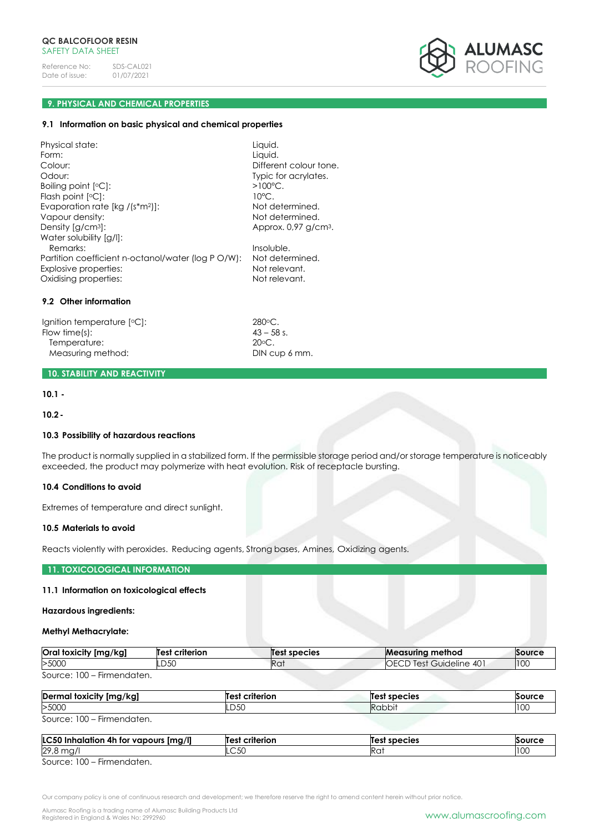

# **9. PHYSICAL AND CHEMICAL PROPERTIES**

#### **9.1 Information on basic physical and chemical properties**

Physical state: Liquid. Form: Liquid. Colour: Colour: Different colour tone. Odour: Typic for acrylates. Boiling point [°C]: Flash point [°C]: Evaporation rate [kg /(s\*m<sup>2</sup>)]: Not determined. Vapour density:  $\blacksquare$ Density [g/cm<sup>3</sup>]: Density [g/cm<sup>3</sup>]: Water solubility [g/l]: Remarks: Insoluble. Partition coefficient n-octanol/water (log P O/W): Not determined. Explosive properties: Not relevant. Oxidising properties: Not relevant.

#### **9.2 Other information**

Ignition temperature  $[°C]$ : 280°C.<br>Flow time(s): 43 – 58 s. Flow time(s):  $43 - 58$ <br>Temperature:  $20^{\circ}$ C. Temperature: Measuring method: DIN cup 6 mm.

# **10. STABILITY AND REACTIVITY**

# **10.1 -**

**10.2-**

## **10.3 Possibility of hazardous reactions**

The product is normally supplied in a stabilized form. If the permissible storage period and/or storage temperature is noticeably exceeded, the product may polymerize with heat evolution. Risk of receptacle bursting.

 $>100^{\circ}$ C.

10°C.

# **10.4 Conditions to avoid**

Extremes of temperature and direct sunlight.

## **10.5 Materials to avoid**

Reacts violently with peroxides. Reducing agents, Strong bases, Amines, Oxidizing agents.

## **11. TOXICOLOGICAL INFORMATION**

#### **11.1 Information on toxicological effects**

## **Hazardous ingredients:**

#### **Methyl Methacrylate:**

| <b>Oral toxicity</b><br>[mg/kg] | criterion<br>Test | est species?    | <b>Measuring</b><br>⊩method     | Source |
|---------------------------------|-------------------|-----------------|---------------------------------|--------|
| >5000                           | D <sub>50</sub>   | Ra <sup>.</sup> | 40<br>OECD<br>Guideline<br>lest | 100    |
| $\sim$ $\sim$<br>$\sim$         |                   |                 |                                 |        |

Source: 100 – Firmendaten.

| Dermal toxicity [mg/kg]                                                                                                                                                                                                                 | criterion<br>est | species<br>ıе | <b>Source</b> |
|-----------------------------------------------------------------------------------------------------------------------------------------------------------------------------------------------------------------------------------------|------------------|---------------|---------------|
| >5000                                                                                                                                                                                                                                   | LD50             | Rabbit        | 100           |
| 0.100<br>in the contract of the contract of the contract of the contract of the contract of the contract of the contract of the contract of the contract of the contract of the contract of the contract of the contract of the contrac |                  |               |               |

Source: 100 – Firmendaten.

| <b>LC50</b><br>[mg/l]<br>Inhalation 4h for vapours ! | criterion<br><b>Test</b> | Test species | Source |
|------------------------------------------------------|--------------------------|--------------|--------|
| 29,8 mg/                                             | $\cap$ 50<br>ںں۔         | 11 U         | 100    |
| $SQurca' 100 - Eirmandatan$                          |                          |              |        |

Source: 100 – Firmendaten.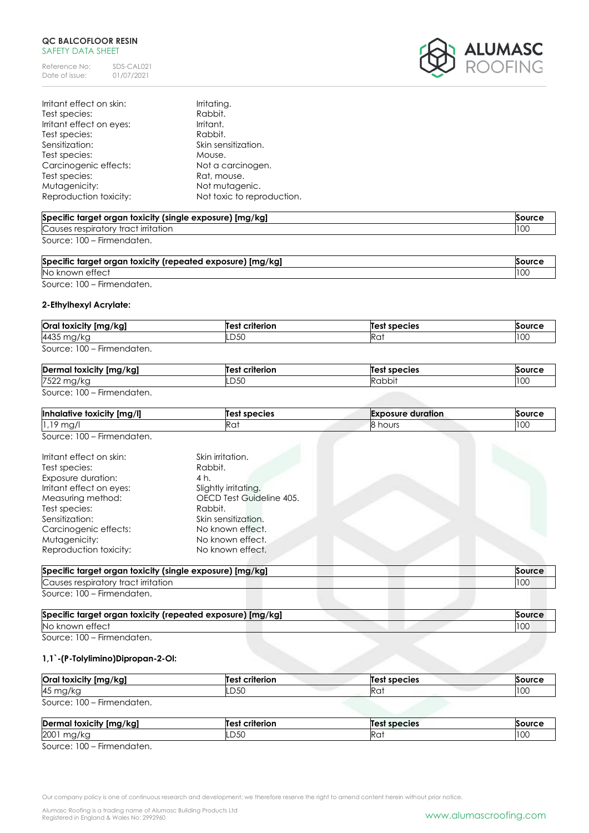# **QC BALCOFLOOR RESIN** SAFETY DATA SHEET

Reference No: SDS-CAL021<br>Date of issue: 01/07/2021 Date of issue:



| Irritant effect on skin: | Irritating.                |
|--------------------------|----------------------------|
| Test species:            | Rabbit.                    |
| Irritant effect on eyes: | Irritant.                  |
| Test species:            | Rabbit.                    |
| Sensitization:           | Skin sensitization.        |
| Test species:            | Mouse.                     |
| Carcinogenic effects:    | Not a carcinogen.          |
| Test species:            | Rat, mouse.                |
| Mutagenicity:            | Not mutagenic.             |
| Reproduction toxicity:   | Not toxic to reproduction. |

| Specific target organ toxicity (single exposure) [mg/kg] | Source |
|----------------------------------------------------------|--------|
| Causes respiratory tract irritation                      | 100    |
| Source: 100 – Firmendaten.                               |        |

| Specific target organ toxicity (repeated exposure) [mg/kg] |     |
|------------------------------------------------------------|-----|
| No known effect                                            | 100 |
|                                                            |     |

Source: 100 – Firmendaten.

# **2-Ethylhexyl Acrylate:**

| Oral toxicity [mg/kg]      | <b>Test criterion</b> | Test species | Source |
|----------------------------|-----------------------|--------------|--------|
| 4435 mg/kg                 | LD50                  | Ra           | 100    |
| Source: 100 – Firmendaten. |                       |              |        |

| $\overline{\phantom{a}}$<br>Derma<br><br>l toxicity [mg/kg] | <br>:riterion<br>۵۰- | species<br>$\mathbf{e}$ | <b>SOUTE</b> |
|-------------------------------------------------------------|----------------------|-------------------------|--------------|
| 7522                                                        | n En                 |                         | $\sim$       |
| א ושי                                                       | ∟ບບບ                 |                         | 1 UU         |

Source: 100 – Firmendaten.

| [mg/l]<br>Inhald<br>toxicity<br>ıtive | species<br>lles. | duration<br><b>Exr</b><br>าดรมre | Sourc.                 |
|---------------------------------------|------------------|----------------------------------|------------------------|
| $\sim$<br>ma,<br>. .<br>.             | .KQ)             | ∽<br>hours                       | 0 <sup>0</sup><br>ו טע |

Source: 100 – Firmendaten.

| Irritant effect on skin: | Skin irritation.         |
|--------------------------|--------------------------|
| Test species:            | Rabbit.                  |
| Exposure duration:       | 4 h.                     |
| Irritant effect on eyes: | Slightly irritating.     |
| Measuring method:        | OECD Test Guideline 405. |
| Test species:            | Rabbit.                  |
| Sensitization:           | Skin sensitization.      |
| Carcinogenic effects:    | No known effect.         |
| Mutagenicity:            | No known effect.         |
| Reproduction toxicity:   | No known effect.         |

| Specific target organ toxicity (single exposure) [mg/kg] | Source |
|----------------------------------------------------------|--------|
| Causes respiratory tract irritation                      |        |
| Source: 100 – Firmendaten.                               |        |

| Specific target organ toxicity (repeated exposure) [mg/kg] |  |
|------------------------------------------------------------|--|
| No known effect                                            |  |
| Source: 100 - Firmandatan                                  |  |

Source: 100 – Firmendaten.

# **1,1`-(P-Tolylimino)Dipropan-2-Ol:**

| Oral toxicity [mg/kg]      | <b>Test criterion</b> | <b>Test species</b> | Source |
|----------------------------|-----------------------|---------------------|--------|
| 45 mg/kg                   | LD50                  | Rat                 | 100    |
| Source: 100 – Firmendaten. |                       |                     |        |

| Dermal<br>il foxicity [mg/kg]                      | criterion<br>$\mathbf{A}$ | $\epsilon$<br>া species | <b>Source</b> |
|----------------------------------------------------|---------------------------|-------------------------|---------------|
| 2001<br>mg/kc                                      | <b>DEO</b><br>.uju        | кu.                     | 100           |
| $- \cdot$<br>$S_0$ uroo $\cdot$ 100<br>Eirmondaton |                           |                         |               |

Source: 100 – Firmendaten.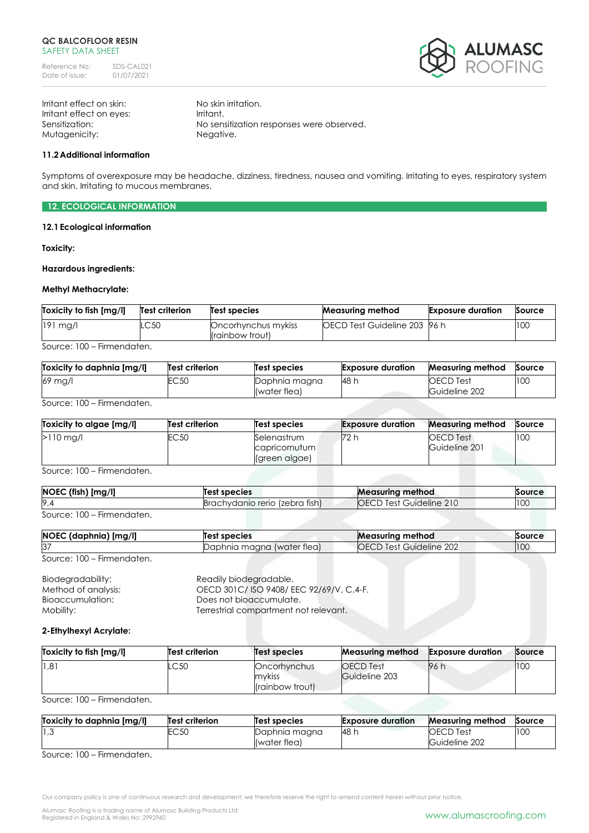

Irritant effect on skin: No skin irritation. Irritant effect on eyes: Irritant. Mutagenicity: Negative.

Sensitization: No sensitization responses were observed.

# **11.2Additional information**

Symptoms of overexposure may be headache, dizziness, tiredness, nausea and vomiting. Irritating to eyes, respiratory system and skin. Irritating to mucous membranes.

**12. ECOLOGICAL INFORMATION**

## **12.1Ecological information**

**Toxicity:**

#### **Hazardous ingredients:**

# **Methyl Methacrylate:**

| Toxicity to fish [mg/l] | Test criterion | <b>Test species</b>                    | <b>Measuring method</b>              | <b>Exposure duration</b> | Source |
|-------------------------|----------------|----------------------------------------|--------------------------------------|--------------------------|--------|
| $191$ mg/l              | LC50           | Oncorhynchus mykiss<br>(rainbow trout) | <b>IOECD Test Guideline 203 96 h</b> |                          | 100    |
| Firman political        |                |                                        |                                      |                          |        |

Source: 100 – Firmendaten.

| Toxicity to daphnia [mg/l] | Test criterion | Test species                  | <b>Exposure duration</b> | <b>Measuring method</b>           | Source |
|----------------------------|----------------|-------------------------------|--------------------------|-----------------------------------|--------|
| 69 mg/l                    | C50            | Daphnia magna<br>(water flea) | <b>48 h</b>              | <b>OECD</b> Test<br>Guideline 202 | 100    |

Source: 100 – Firmendaten.

| Toxicity to algae [mg/l] | Test criterion | Test species                                  | <b>Exposure duration</b> | <b>Measuring method</b>    | Source |
|--------------------------|----------------|-----------------------------------------------|--------------------------|----------------------------|--------|
| $>110$ ma/l              | EC50           | Selenastrum<br>capricornutum<br>(green algae) | 72 h                     | OECD Test<br>Guideline 201 | 100    |

Source: 100 – Firmendaten.

| [mg/l]<br>NOEC (fish) [I | Test species                    | <b>Measuring method</b>      | Source |
|--------------------------|---------------------------------|------------------------------|--------|
| $\sim$                   | (zebra tish)<br>achvdanio rerio | ∩F.<br>Guideline 210<br>Test | 100    |

Source: 100 – Firmendaten.

| NOEC (daphnia) [mg/l]               | Test species               | <b>Measuring method</b>        | Source |
|-------------------------------------|----------------------------|--------------------------------|--------|
| $\sim$<br>O.                        | Daphnia magna (water tlea) | <b>OECD Test Guideline 202</b> | 10C    |
| $C_{\text{OUTO}}$ $100$ Eirmondaton |                            |                                |        |

Source: 100 – Firmendaten.

Biodegradability: Readily biodegradable.<br>
Method of analysis: CECD 301C/ISO 9408/E OECD 301C/ ISO 9408/ EEC 92/69/V, C.4-F. Bioaccumulation: Does not bioaccumulate. Mobility: Mobility: Terrestrial compartment not relevant.

# **2-Ethylhexyl Acrylate:**

| Toxicity to fish [mg/l] | Test criterion | Test species                               | Measuring method                  | <b>Exposure duration</b> | Source |
|-------------------------|----------------|--------------------------------------------|-----------------------------------|--------------------------|--------|
| 1,81                    | .C50           | Oncorhynchus<br>mykiss<br>l(rainbow trout) | <b>OECD</b> Test<br>Guideline 203 | 96 h                     | 100    |

Source: 100 – Firmendaten.

| Toxicity to daphnia [mg/l] | Test criterion | Test species  | <b>Exposure duration</b> | <b>Measuring method</b> | Source |
|----------------------------|----------------|---------------|--------------------------|-------------------------|--------|
| 3, 1                       | EC5C           | Daphnia magna | 48 h                     | <b>OECD Test</b>        | 100    |
| ---<br>$\sim$<br>--        |                | (water flea)  |                          | Guideline 202           |        |

Source: 100 – Firmendaten.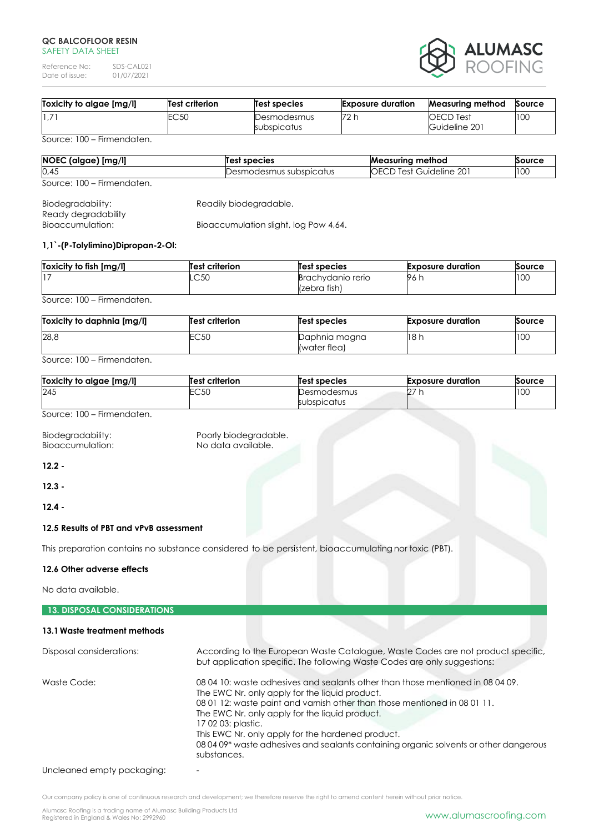#### **QC BALCOFLOOR RESIN** SAFFTY DATA SHFFT

Reference No: SDS-CAL021<br>Date of issue: 01/07/2021 Date of issue:



| 1,7<br>70<br>100<br>EC 50<br><b>OECD</b> Test<br>Desmodesmus<br>Guideline 201<br>subspicatus | Toxicity to algae [mg/l] | <b>Test criterion</b> | Test species | <b>Exposure duration</b> | Measuring method | Source |
|----------------------------------------------------------------------------------------------|--------------------------|-----------------------|--------------|--------------------------|------------------|--------|
|                                                                                              |                          |                       |              |                          |                  |        |

Source: 100 – Firmendaten.

| NOEC (algae) [mg/l]        | Test species            | <b>Measuring method</b> | Source |
|----------------------------|-------------------------|-------------------------|--------|
| 0,45                       | Desmodesmus subspicatus | OECD Test Guideline 201 | 100    |
| Source: 100 – Firmendaten. |                         |                         |        |

| Biodegradability:   | Readily biodegradable.                |
|---------------------|---------------------------------------|
| Ready degradability |                                       |
| Bioaccumulation:    | Bioaccumulation slight, log Pow 4,64. |

# **1,1`-(P-Tolylimino)Dipropan-2-Ol:**

| Toxicity to fish [mg/l] | <b>Test criterion</b> | Test species                      | <b>Exposure duration</b> | Source |
|-------------------------|-----------------------|-----------------------------------|--------------------------|--------|
|                         | LC50                  | Brachydanio rerio<br>(zebra fish) | 96 h                     | 100    |
|                         |                       |                                   |                          |        |

Source: 100 – Firmendaten.

| Toxicity to daphnia [mg/l] | Test criterion | <b>Test species</b>           | <b>Exposure duration</b> | <b>Source</b> |
|----------------------------|----------------|-------------------------------|--------------------------|---------------|
| 28,8                       | EC50           | Daphnia magna<br>(water flea) | 18 h                     | 100           |

Source: 100 – Firmendaten.

| Toxicity to algae [mg/l] | <b>Test criterion</b> | Test species               | <b>Exposure duration</b> | Source |
|--------------------------|-----------------------|----------------------------|--------------------------|--------|
| 245                      | EC50                  | Desmodesmus<br>subspicatus | $\sim$<br>LZ.            | 100    |
|                          |                       |                            |                          |        |

Source: 100 – Firmendaten.

Bioaccumulation:

Biodegradability: Poorly biodegradable.<br>Bioaccumulation: No data available.

**12.2 -**

**12.3 -**

**12.4 -**

# **12.5 Results of PBT and vPvB assessment**

This preparation contains no substance considered to be persistent, bioaccumulating nor toxic (PBT).

# **12.6 Other adverse effects**

No data available.

# **13. DISPOSAL CONSIDERATIONS**

# **13.1Waste treatment methods**

| Disposal considerations: | According to the European Waste Catalogue, Waste Codes are not product specific,<br>but application specific. The following Waste Codes are only suggestions:                                                                                                                                                                                                                                                                                      |
|--------------------------|----------------------------------------------------------------------------------------------------------------------------------------------------------------------------------------------------------------------------------------------------------------------------------------------------------------------------------------------------------------------------------------------------------------------------------------------------|
| Waste Code:              | 08 04 10: waste adhesives and sealants other than those mentioned in 08 04 09.<br>The EWC Nr. only apply for the liquid product.<br>08 01 12: waste paint and varnish other than those mentioned in 08 01 11.<br>The EWC Nr. only apply for the liquid product.<br>17 02 03: plastic.<br>This EWC Nr. only apply for the hardened product.<br>08 04 09* waste adhesives and sealants containing organic solvents or other dangerous<br>substances. |

Uncleaned empty packaging:

Our company policy is one of continuous research and development; we therefore reserve the right to amend content herein without prior notice.

Alumasc Roofing is a trading name of Alumasc Building Products Ltd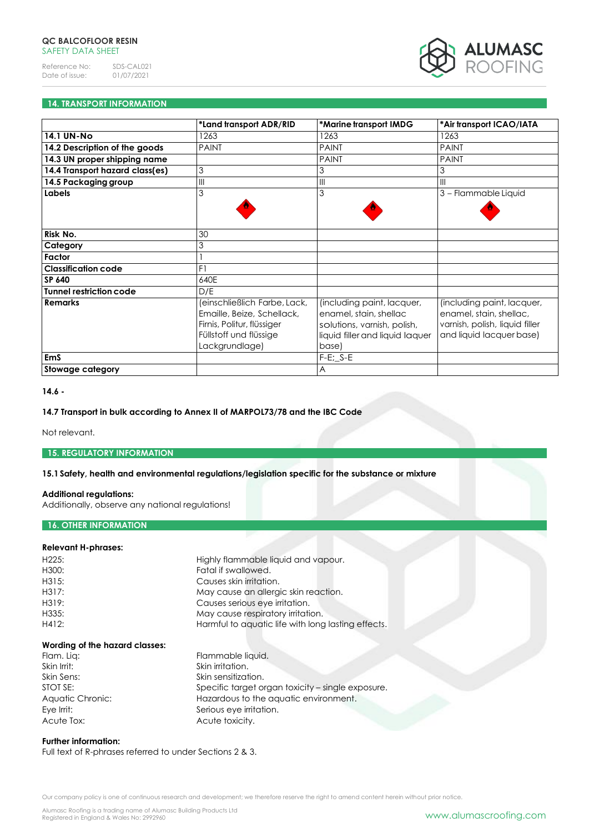

# **14. TRANSPORT INFORMATION**

|                                 | *Land transport ADR/RID                                                                                                              | *Marine transport IMDG                                                                                                          | *Air transport ICAO/IATA                                                                                            |
|---------------------------------|--------------------------------------------------------------------------------------------------------------------------------------|---------------------------------------------------------------------------------------------------------------------------------|---------------------------------------------------------------------------------------------------------------------|
| <b>14.1 UN-No</b>               | 1263                                                                                                                                 | 1263                                                                                                                            | 1263                                                                                                                |
| 14.2 Description of the goods   | <b>PAINT</b>                                                                                                                         | <b>PAINT</b>                                                                                                                    | <b>PAINT</b>                                                                                                        |
| 14.3 UN proper shipping name    |                                                                                                                                      | <b>PAINT</b>                                                                                                                    | <b>PAINT</b>                                                                                                        |
| 14.4 Transport hazard class(es) | 3                                                                                                                                    | 3                                                                                                                               | 3                                                                                                                   |
| 14.5 Packaging group            | III                                                                                                                                  | $\mathbf{III}$                                                                                                                  | $\mathbf{III}$                                                                                                      |
| Labels                          | 3                                                                                                                                    | 3                                                                                                                               | 3 - Flammable Liquid                                                                                                |
|                                 |                                                                                                                                      |                                                                                                                                 |                                                                                                                     |
|                                 |                                                                                                                                      |                                                                                                                                 |                                                                                                                     |
| Risk No.                        | 30                                                                                                                                   |                                                                                                                                 |                                                                                                                     |
| Category                        | 3                                                                                                                                    |                                                                                                                                 |                                                                                                                     |
| Factor                          |                                                                                                                                      |                                                                                                                                 |                                                                                                                     |
| <b>Classification code</b>      | F1                                                                                                                                   |                                                                                                                                 |                                                                                                                     |
| <b>SP 640</b>                   | 640E                                                                                                                                 |                                                                                                                                 |                                                                                                                     |
| <b>Tunnel restriction code</b>  | D/E                                                                                                                                  |                                                                                                                                 |                                                                                                                     |
| <b>Remarks</b>                  | (einschließlich Farbe, Lack,<br>Emaille, Beize, Schellack,<br>Firnis, Politur, flüssiger<br>Füllstoff und flüssige<br>Lackgrundlage) | (including paint, lacquer,<br>enamel, stain, shellac<br>solutions, varnish, polish,<br>liquid filler and liquid laquer<br>base) | (including paint, lacquer,<br>enamel, stain, shellac,<br>varnish, polish, liquid filler<br>and liquid lacquer base) |
| <b>EmS</b>                      |                                                                                                                                      | $F-E$ ; $S-E$                                                                                                                   |                                                                                                                     |
| Stowage category                |                                                                                                                                      | $\overline{A}$                                                                                                                  |                                                                                                                     |

#### **14.6 -**

## **14.7 Transport in bulk according to Annex II of MARPOL73/78 and the IBC Code**

Not relevant.

# **15. REGULATORY INFORMATION**

## **15.1Safety, health and environmental regulations/legislation specific for the substance or mixture**

# **Additional regulations:**

Additionally, observe any national regulations!

# **16. OTHER INFORMATION**

# **Relevant H-phrases:**

| Harmful to aquatic life with long lasting effects. |
|----------------------------------------------------|
|                                                    |

Flammable liquid.

# **Wording of the hazard classes:**

Skin Irrit: Skin irritation. Skin Sens: Skin sensitization. STOT SE: Specific target organ toxicity – single exposure. Aquatic Chronic: Hazardous to the aquatic environment. Eye Irrit: Serious eye irritation. Acute Tox: Acute toxicity.

# **Further information:**

Full text of R-phrases referred to under Sections 2 & 3.

Our company policy is one of continuous research and development; we therefore reserve the right to amend content herein without prior notice.

Alumasc Roofing is a trading name of Alumasc Building Products Ltd